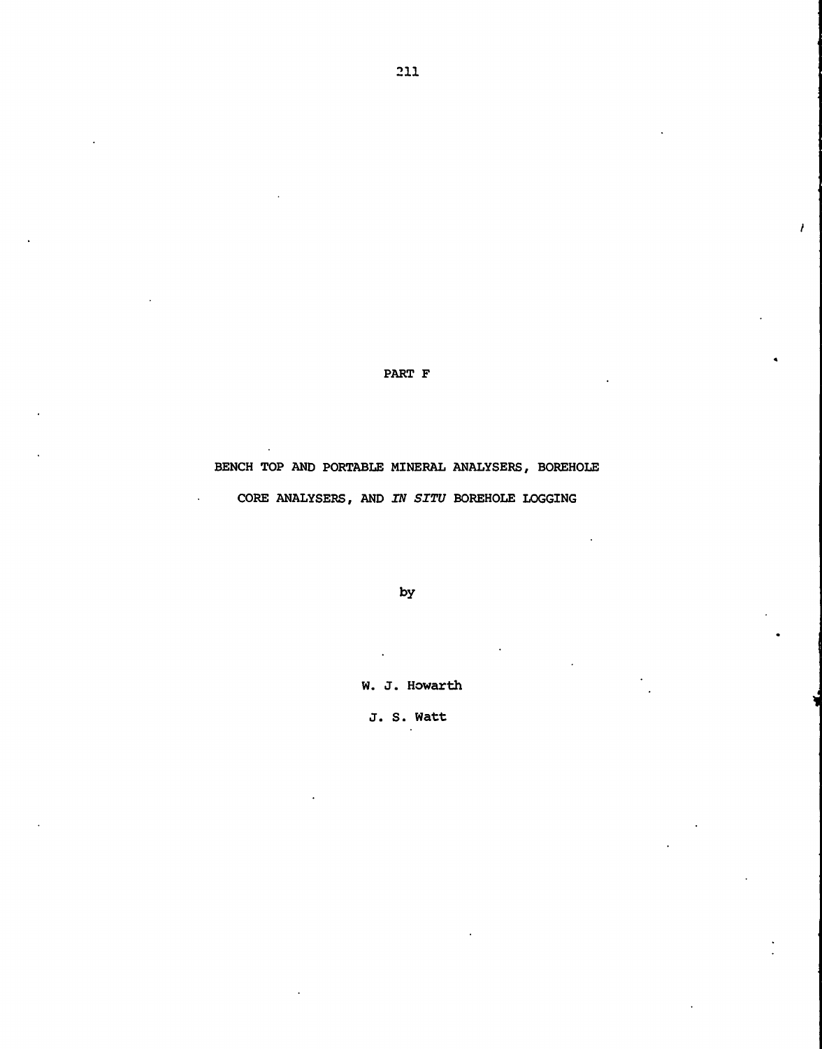PART F

 $\lambda$ 

BENCH TOP AND PORTABLE MINERAL ANALYSERS, BOREHOLE CORE ANALYSERS, AND IN SITU BOREHOLE LOGGING

 $\ddot{\phantom{a}}$ 

by

W. J. Howarth

J. S. Watt

 $\ddot{\phantom{a}}$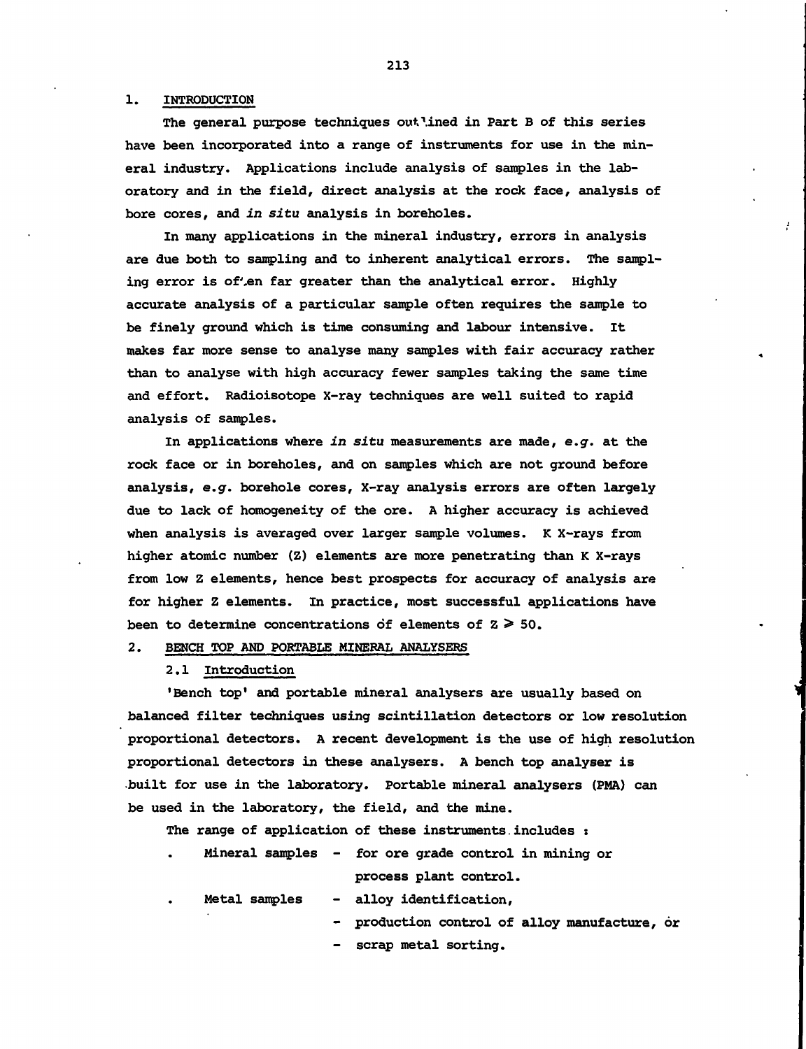#### 1. INTRODUCTION

The general purpose techniques out\ined in Part B of this series have been incorporated into a range of instruments for use in the mineral industry. Applications include analysis of samples in the laboratory and in the field, direct analysis at the rock face, analysis of bore cores, and in situ analysis in boreholes.

In many applications in the mineral industry, errors in analysis are due both to sampling and to inherent analytical errors. The sampling error is of'en far greater than the analytical error. Highly accurate analysis of a particular sample often requires the sample to be finely ground which is time consuming and labour intensive. It makes far more sense to analyse many samples with fair accuracy rather than to analyse with high accuracy fewer samples taking the same time and effort. Radioisotope X-ray techniques are well suited to rapid analysis of samples.

In applications where in situ measurements are made, e.g. at the rock face or in boreholes, and on samples which are not ground before analysis, e.g. borehole cores, X-ray analysis errors are often largely due to lack of homogeneity of the ore. A higher accuracy is achieved when analysis is averaged over larger sample volumes. K X-rays from higher atomic number (Z) elements are more penetrating than K X-rays from low Z elements, hence best prospects for accuracy of analysis are for higher Z elements. In practice, most successful applications have been to determine concentrations of elements of  $z \geq 50$ .

2. BENCH TOP AND PORTABLE MINERAL ANALYSERS

**2.1 Introduction**

'Bench top' and portable mineral analysers are usually based on balanced filter techniques using scintillation detectors or low resolution proportional detectors. A recent development is the use of high resolution proportional detectors in these analysers. A bench top analyser is .built for use in the laboratory. Portable mineral analysers (PMA) can be used in the laboratory, the field, and the mine.

The range of application of these instruments.includes :

| $\bullet$ | Mineral samples - for ore grade control in mining or |  |  |                        |  |  |
|-----------|------------------------------------------------------|--|--|------------------------|--|--|
|           |                                                      |  |  | process plant control. |  |  |

Metal samples - alloy identification,

- production control of alloy manufacture, or

- scrap metal sorting.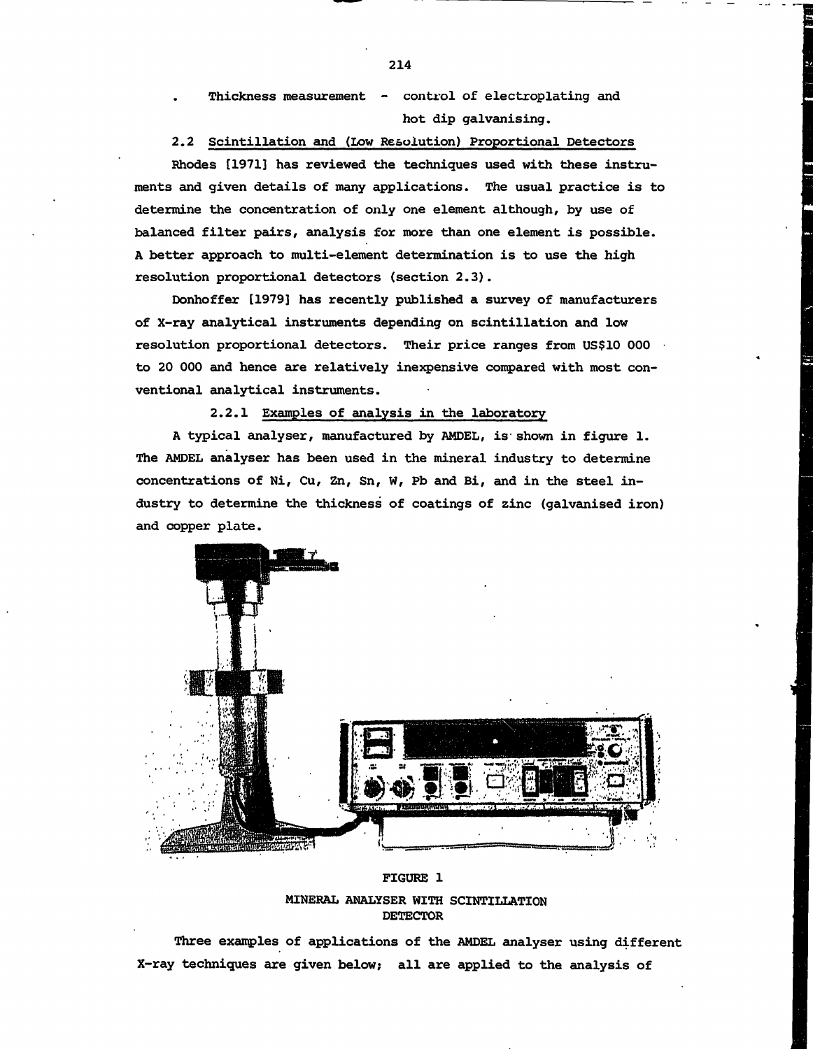Thickness measurement - control of electroplating and hot dip galvanising.

2.2 Scintillation and (Low Resolution) Proportional Detectors Rhodes [1971] has reviewed the techniques used with these instruments and given details of many applications. The usual practice is to determine the concentration of only one element although, by use of balanced filter pairs, analysis for more than one element is possible.

A better approach to multi-element determination is to use the high resolution proportional detectors (section 2.3). Donhoffer [1979] has recently published a survey of manufacturers

of X-ray analytical instruments depending on scintillation and low resolution proportional detectors. Their price ranges from US\$10 000 • to 20 000 and hence are relatively inexpensive compared with most conventional analytical instruments.

## 2.2.1 Examples of analysis in the laboratory

A typical analyser, manufactured by AMDEL, is- shown in figure 1. The AMDEL analyser has been used in the mineral industry to determine concentrations of Ni, Cu, Zn, Sn, W, Pb and Bi, and in the steel industry to determine the thickness of coatings of zinc (galvanised iron) and copper plate.



# FIGURE 1

MINERAL ANALYSER WITH SCINTILLATION DETECTOR

Three examples of applications of the AMDEL analyser using different X-ray techniques are given below; all are applied to the analysis of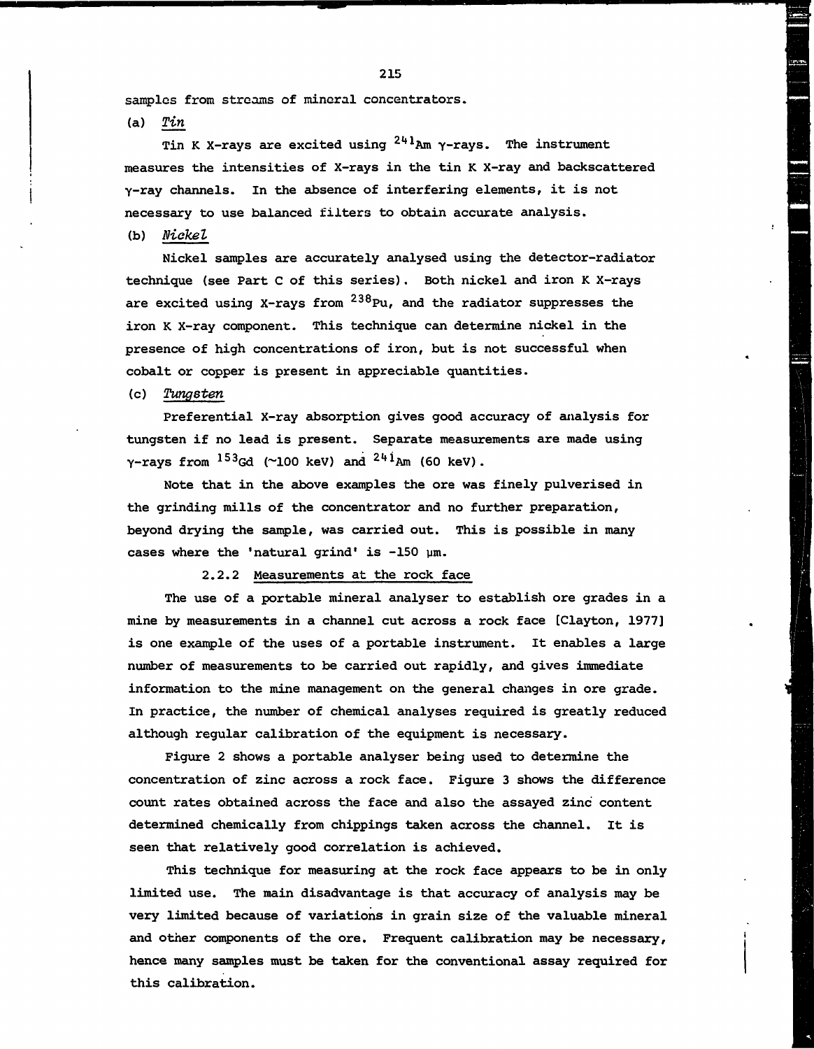samples from streams of mineral concentrators.

 $(a)$   $Tin$ 

Tin K X-rays are excited using <sup>241</sup>Am γ-rays. The instrument measures the intensities of X-rays in the tin K X-ray and backscattered y-ray channels. In the absence of interfering elements, it is not necessary to use balanced filters to obtain accurate analysis.

(b) Nickel

Nickel samples are accurately analysed using the detector-radiator technique (see Part C of this series). Both nickel and iron K X-rays are excited using X-rays from  $^{238}\rm{Pu}$ , and the radiator suppresses the iron K X-ray component. This technique can determine nickel in the presence of high concentrations of iron, but is not successful when cobalt or copper is present in appreciable quantities.

(c) Tungsten

Preferential X-ray absorption gives good accuracy of analysis for tungsten if no lead is present. Separate measurements are made using  $\gamma$ -rays from  $^{153}$ Gd (~100 keV) and  $^{244}$ Am (60 keV).

Note that in the above examples the ore was finely pulverised in the grinding mills of the concentrator and no further preparation, beyond drying the sample, was carried out. This is possible in many cases where the 'natural grind' is  $-150$   $\mu$ m.

#### 2.2.2 Measurements at the rock face

The use of a portable mineral analyser to establish ore grades in a mine by measurements in a channel cut across a rock face [Clayton, 1977] is one example of the uses of a portable instrument. It enables a large number of measurements to be carried out rapidly, and gives immediate information to the mine management on the general changes in ore grade. In practice, the number of chemical analyses required is greatly reduced although regular calibration of the equipment is necessary.

Figure 2 shows a portable analyser being used to determine the concentration of zinc across a rock face. Figure 3 shows the difference count rates obtained across the face and also the assayed zinc content determined chemically from chippings taken across the channel. It is seen that relatively good correlation is achieved.

This technique for measuring at the rock face appears to be in only limited use. The main disadvantage is that accuracy of analysis may be very limited because of variations in grain size of the valuable mineral and other components of the ore. Frequent calibration may be necessary, hence many samples must be taken for the conventional assay required for this calibration.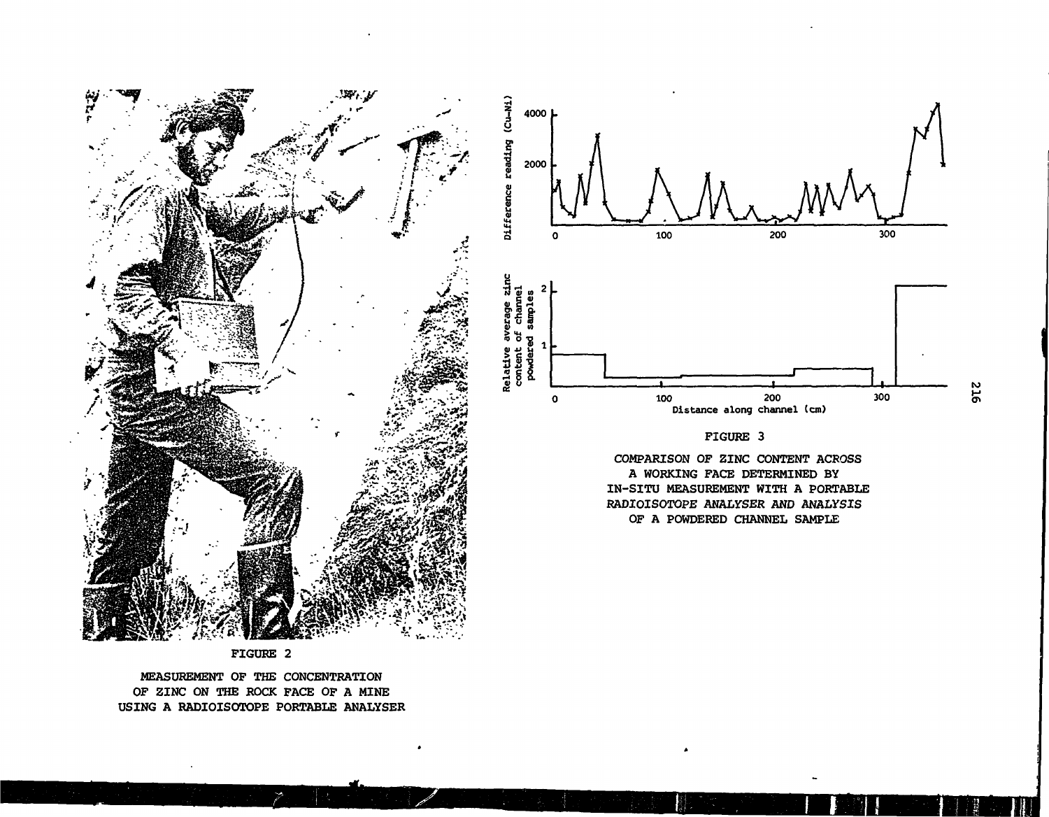

FIGURE 2

MEASUREMENT OF THE CONCENTRATION OF ZINC ON THE ROCK FACE OF A MINE USING A RADIOISOTOPE PORTABLE ANALYSER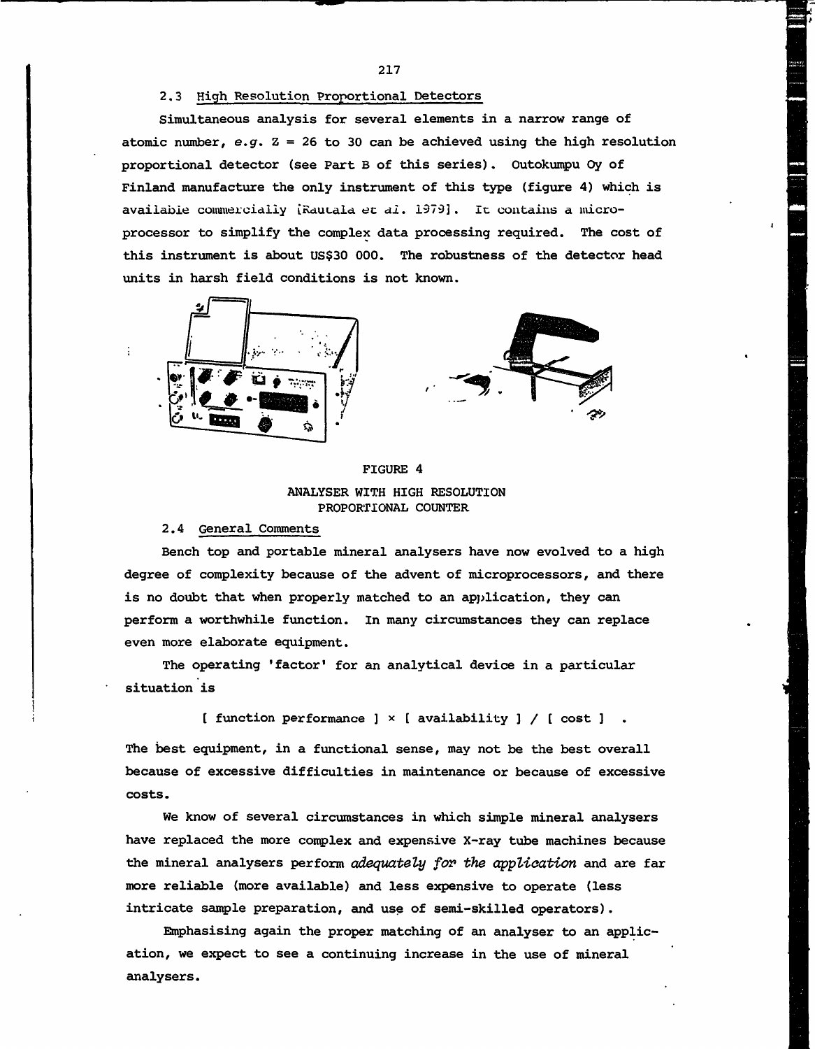#### 2.3 High Resolution Proportional Detectors

Simultaneous analysis for several elements in a narrow range of atomic number, e.g.  $Z = 26$  to 30 can be achieved using the high resolution proportional detector (see Part B of this series). Outokumpu Oy of Finland manufacture the only instrument of this type (figure 4) which is available commercially (Rautala et al. 1979]. It contains a microprocessor to simplify the complex data processing required. The cost of this instrument is about US\$30 000. The robustness of the detector head units in harsh field conditions is not known.





FIGURE 4 ANALYSER WITH HIGH RESOLUTION PROPORTIONAL COUNTER

#### 2.4 General Comments

Bench top and portable mineral analysers have now evolved to a high degree of complexity because of the advent of microprocessors, and there is no doubt that when properly matched to an application, they can perform a worthwhile function. In many circumstances they can replace even more elaborate equipment.

The operating 'factor' for an analytical device in a particular situation is

[ function performance ]  $\times$  [ availability ] / [ cost ] .

The best equipment, in a functional sense, may not be the best overall because of excessive difficulties in maintenance or because of excessive costs.

We know of several circumstances in which simple mineral analysers have replaced the more complex and expensive X-ray tube machines because the mineral analysers perform adequately for the application and are far more reliable (more available) and less expensive to operate (less intricate sample preparation, and use of semi-skilled operators).

Emphasising again the proper matching of an analyser to an application, we expect to see a continuing increase in the use of mineral analysers.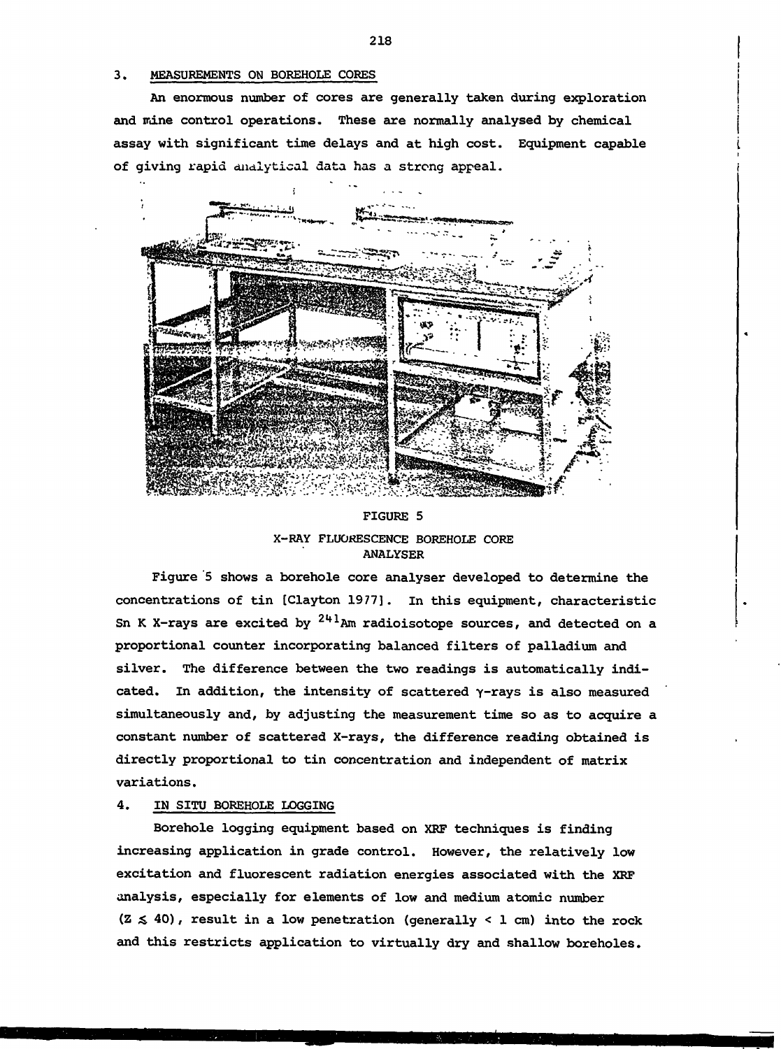#### 3. MEASUREMENTS ON BOREHOLE CORES

An enormous number of cores are generally taken during exploration and mine control operations. These are normally analysed by chemical assay with significant time delays and at high cost. Equipment capable of giving rapid analytical data has a strong appeal.



# FIGURE 5 X-RAY FLUORESCENCE BOREHOLE CORE ANALYSER

Figure 5 shows a borehole core analyser developed to determine the concentrations of tin [Clayton 1977]. in this equipment, characteristic Sn K X-rays are excited by  $^{244}$ Am radioisotope sources, and detected on a proportional counter incorporating balanced filters of palladium and silver. The difference between the two readings is automatically indicated. In addition, the intensity of scattered  $\gamma$ -rays is also measured simultaneously and, by adjusting the measurement time so as to acquire a constant number of scattered X-rays, the difference reading obtained is directly proportional to tin concentration and independent of matrix variations.

#### 4. IN SITU BOREHOLE LOGGING

Borehole logging equipment based on XRF techniques is finding increasing application in grade control. However, the relatively low excitation and fluorescent radiation energies associated with the XRF analysis, especially for elements of low and medium atomic number  $(Z \leq 40)$ , result in a low penetration (generally < 1 cm) into the rock and this restricts application to virtually dry and shallow boreholes.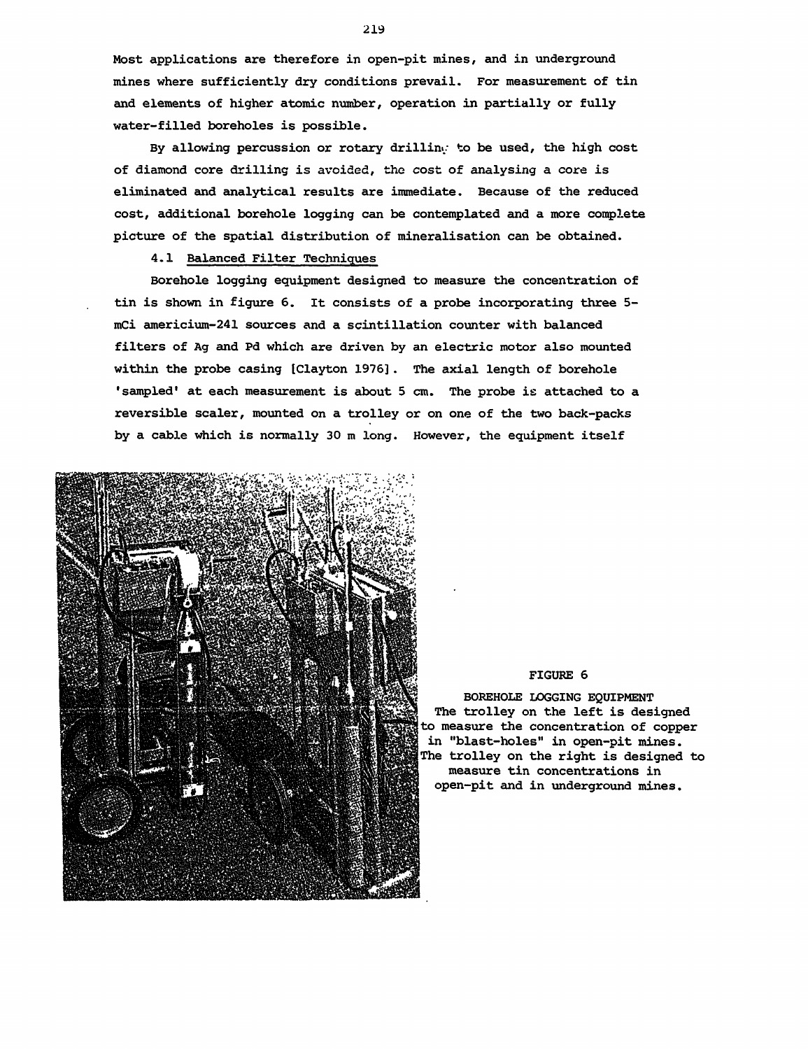Most applications are therefore in open-pit mines, and in underground mines where sufficiently dry conditions prevail. For measurement of tin and elements of higher atomic number, operation in partially or fully water-filled boreholes is possible.

By allowing percussion or rotary drilling to be used, the high cost of diamond core drilling is avoided, the cost of analysing a core is eliminated and analytical results are immediate. Because of the reduced cost, additional borehole logging can be contemplated and a more complete picture of the spatial distribution of mineralisation can be obtained.

# 4.1 Balanced Filter Techniques

Borehole logging equipment designed to measure the concentration of tin is shown in figure 6. It consists of a probe incorporating three 5 mCi americium-241 sources and a scintillation counter with balanced filters of Ag and Pd which are driven by an electric motor also mounted within the probe casing [Clayton 1976]. The axial length of borehole 'sampled' at each measurement is about 5 cm. The probe is attached to a reversible sealer, mounted on a trolley or on one of the two back-packs by a cable which is normally 30 m long. However, the equipment itself



#### FIGURE 6

BOREHOLE LOGGING EQUIPMENT The trolley on the left is designed to measure the concentration of copper in "blast-holes" in open-pit mines. The trolley on the right is designed to measure tin concentrations in open-pit and in underground mines.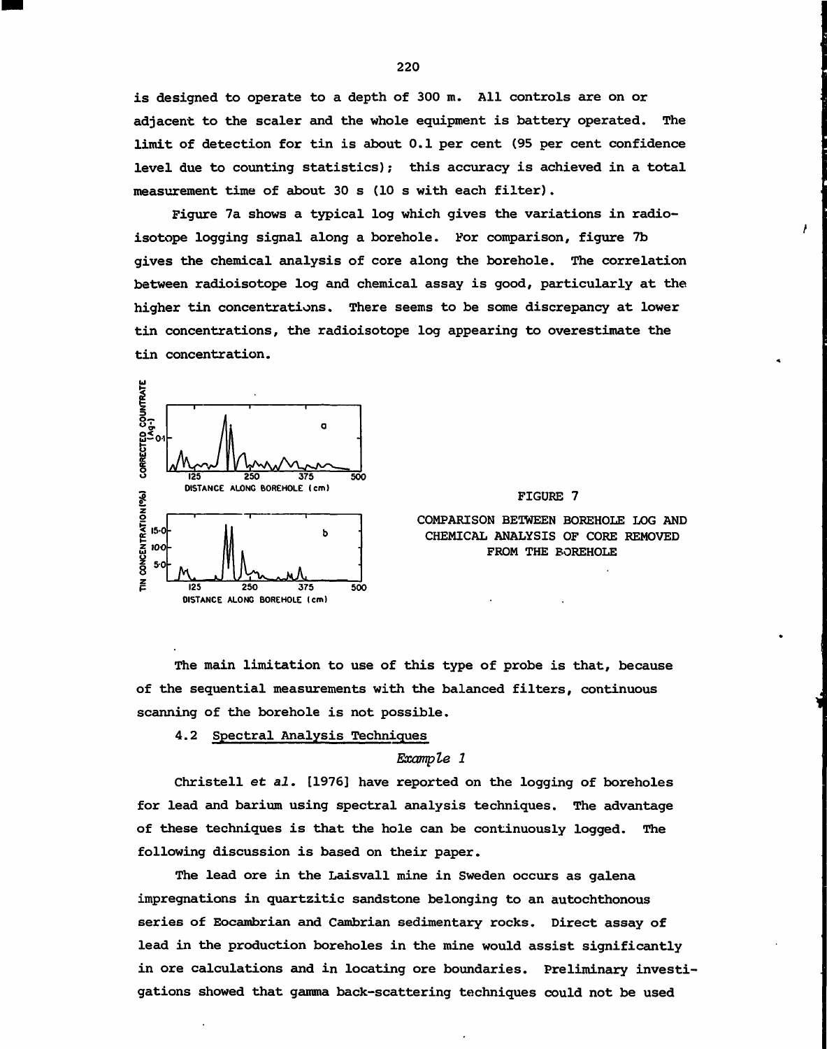is designed to operate to a depth of 300 m. All controls are on or adjacent to the sealer and the whole equipment is battery operated. The limit of detection for tin is about 0.1 per cent (95 per cent confidence level due to counting statistics); this accuracy is achieved in a total measurement time of about 30 s (10 s with each filter).

Figure 7a shows a typical log which gives the variations in radioisotope logging signal along a borehole. For comparison, figure 7b gives the chemical analysis of core along the borehole. The correlation between radioisotope log and chemical assay is good, particularly at the higher tin concentrations. There seems to be some discrepancy at lower tin concentrations, the radioisotope log appearing to overestimate the tin concentration.



FIGURE 7

 $\overline{1}$ 

COMPARISON BETWEEN BOREHOLE LOG AND CHEMICAL ANALYSIS OF CORE REMOVED FROM THE BOREHOLE

The main limitation to use of this type of probe is that, because of the sequential measurements with the balanced filters, continuous scanning of the borehole is not possible.

4.2 Spectral Analysis Techniques

Example 1

Christell et al. [1976] have reported on the logging of boreholes for lead and barium using spectral analysis techniques. The advantage of these techniques is that the hole can be continuously logged. The following discussion is based on their paper.

The lead ore in the Laisvall mine in Sweden occurs as galena impregnations in quartzitic sandstone belonging to an autochthonous series of Eocambrian and Cambrian sedimentary rocks. Direct assay of lead in the production boreholes in the mine would assist significantly in ore calculations and in locating ore boundaries. Preliminary investigations showed that gamma back-scattering techniques could not be used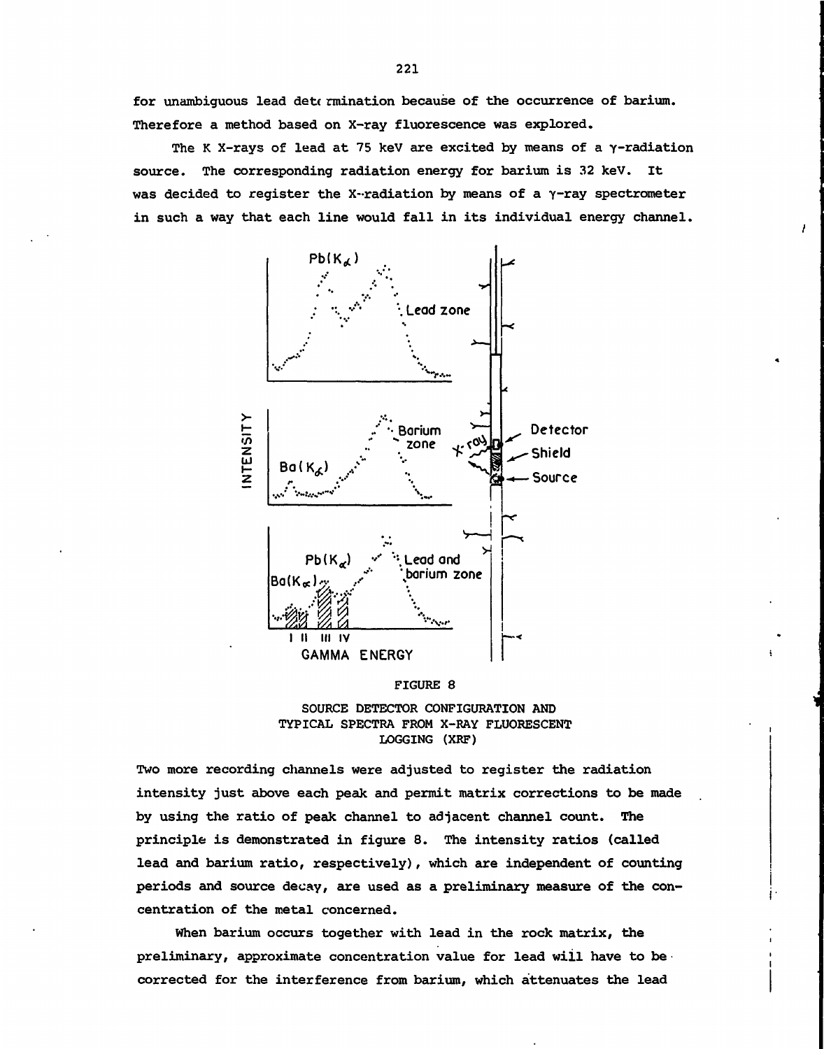for unambiguous lead det rmination because of the occurrence of barium. Therefore a method based on X-ray fluorescence was explored.

The K X-rays of lead at 75 keV are excited by means of a  $\gamma$ -radiation source. The corresponding radiation energy for barium is 32 keV. It was decided to register the X-radiation by means of a  $\gamma$ -ray spectrometer in such a way that each line would fall in its individual energy channel.



FIGURE 8



Two more recording channels were adjusted to register the radiation intensity just above each peak and permit matrix corrections to be made by using the ratio of peak channel to adjacent channel count. The principle is demonstrated in figure 8. The intensity ratios (called lead and barium ratio, respectively), which are independent of counting periods and source decay, are used as a preliminary measure of the concentration of the metal concerned.

When barium occurs together with lead in the rock matrix, the preliminary, approximate concentration value for lead will have to be corrected for the interference from barium, which attenuates the lead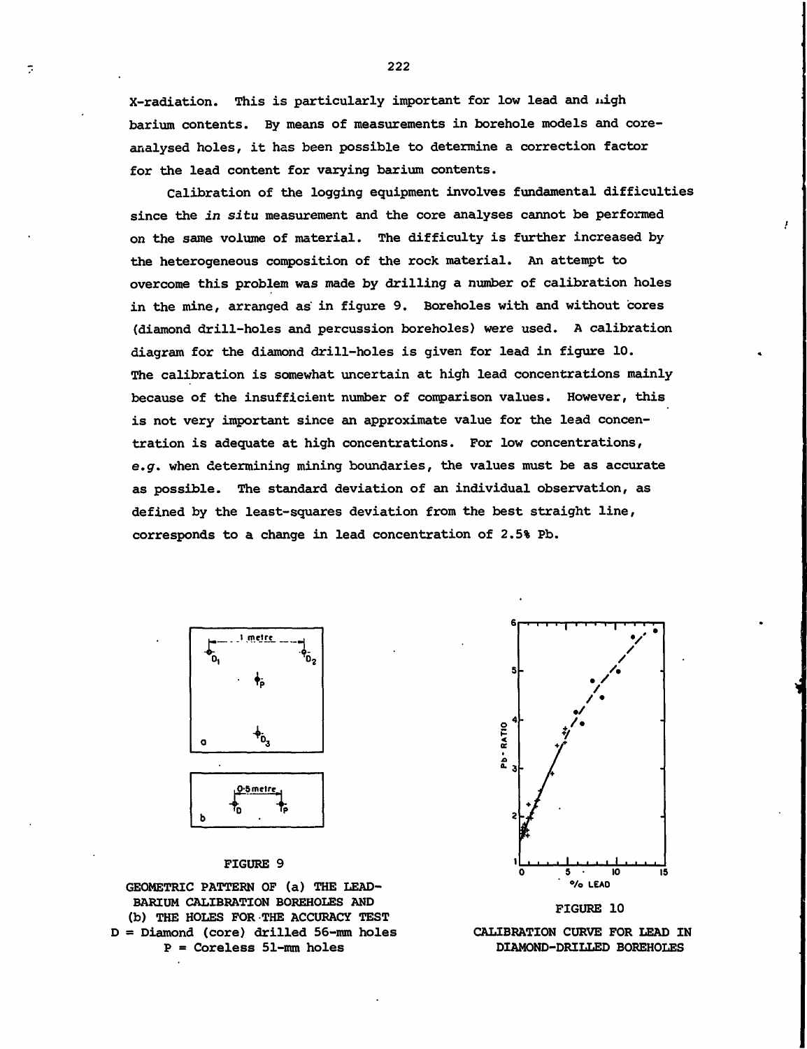X-radiation. This is particularly important for low lead and nigh barium contents. By means of measurements in borehole models and coreanalysed holes, it has been possible to determine a correction factor for the lead content for varying barium contents.

Calibration of the logging equipment involves fundamental difficulties since the in situ measurement and the core analyses cannot be performed on the same volume of material. The difficulty is further increased by the heterogeneous composition of the rock material. An attempt to overcome this problem was made by drilling a number of calibration holes in the mine, arranged as in figure 9. Boreholes with and without cores (diamond drill-holes and percussion boreholes) were used. A calibration diagram for the diamond drill-holes is given for lead in figure 10. The calibration is somewhat uncertain at high lead concentrations mainly because of the insufficient number of comparison values. However, this is not very important since an approximate value for the lead concentration is adequate at high concentrations. For low concentrations, e.g. when determining mining boundaries, the values must be as accurate as possible. The standard deviation of an individual observation, as defined by the least-squares deviation from the best straight line, corresponds to a change in lead concentration of 2.5% Pb.



 $\overline{z}$ 

0.5 metre Τņ b

#### FIGURE 9

GEOMETRIC PATTERN OF (a) THE LEAD-BARIUM CALIBRATION BOREHOLES AND (b) THE HOLES FOR THE ACCURACY TEST D = Diamond (core) drilled 56-mm holes  $P =$  Coreless 51-mm holes





CALIBRATION CURVE FOR LEAD IN DIAMOND-DRILLED BOREHOLES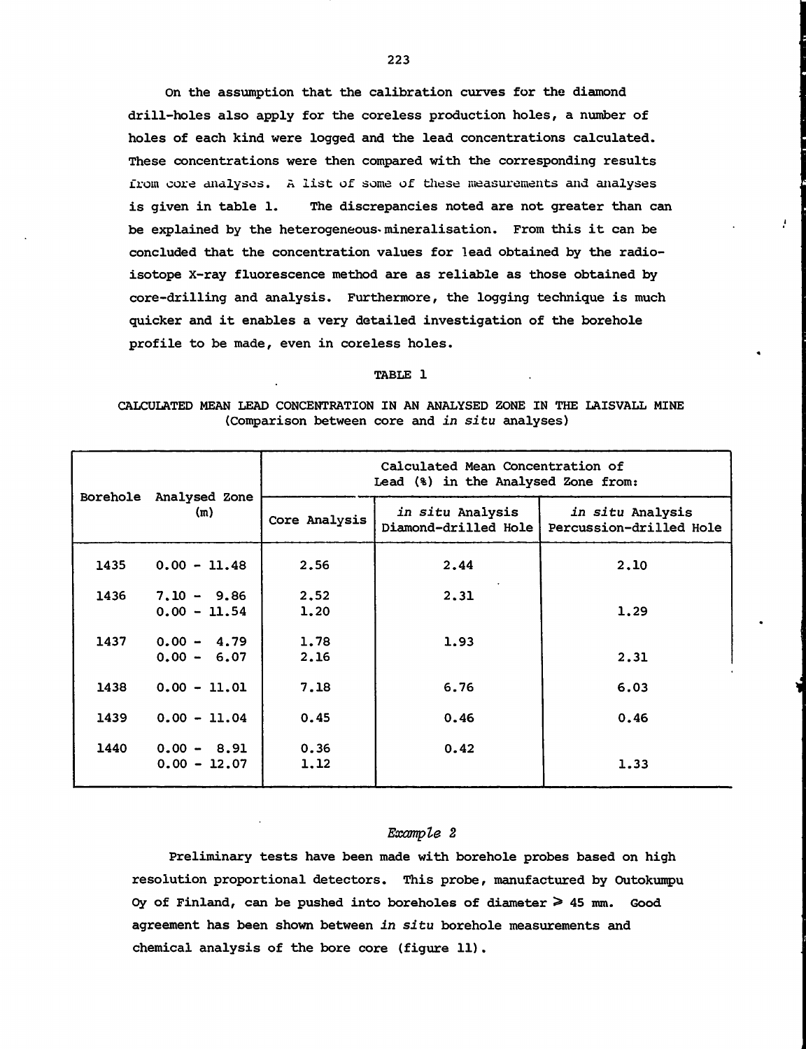On the assumption that the calibration curves for the diamond drill-holes also apply for the coreless production holes, a number of holes of each kind were logged and the lead concentrations calculated. These concentrations were then compared with the corresponding results from core analyses. A list of some of these measurements and analyses is given in table 1. The discrepancies noted are not greater than can be explained by the heterogeneous-mineralisation. From this it can be concluded that the concentration values for lead obtained by the radioisotope X-ray fluorescence method are as reliable as those obtained by core-drilling and analysis. Furthermore, the logging technique is much quicker and it enables a very detailed investigation of the borehole profile to be made, even in coreless holes.

#### TABLE 1

## CALCULATED MEAN LEAD CONCENTRATION IN AN ANALYSED ZONE IN THE LAISVALL MINE (Comparison between core and in situ analyses)

|      | Borehole Analysed Zone          | Calculated Mean Concentration of<br>Lead (%) in the Analysed Zone from: |                                                 |                                             |  |  |  |  |
|------|---------------------------------|-------------------------------------------------------------------------|-------------------------------------------------|---------------------------------------------|--|--|--|--|
|      | (m)                             | Core Analysis                                                           | <i>in situ</i> Analysis<br>Diamond-drilled Hole | in situ Analysis<br>Percussion-drilled Hole |  |  |  |  |
| 1435 | $0.00 - 11.48$                  | 2.56                                                                    | 2.44                                            | 2,10                                        |  |  |  |  |
| 1436 | $7.10 - 9.86$<br>$0.00 - 11.54$ | 2,52<br>1.20                                                            | 2.31                                            | 1.29                                        |  |  |  |  |
| 1437 | $0.00 - 4.79$<br>$0.00 - 6.07$  | 1.78<br>2.16                                                            | 1.93                                            | 2.31                                        |  |  |  |  |
| 1438 | $0.00 - 11.01$                  | 7.18                                                                    | 6.76                                            | 6.03                                        |  |  |  |  |
| 1439 | $0.00 - 11.04$                  | 0.45                                                                    | 0.46                                            | 0.46                                        |  |  |  |  |
| 1440 | $0.00 - 8.91$<br>$0.00 - 12.07$ | 0.36<br>1.12                                                            | 0.42                                            | 1.33                                        |  |  |  |  |

### Example 2

Preliminary tests have been made with borehole probes based on high resolution proportional detectors. This probe, manufactured by Outokumpu Oy of Finland, can be pushed into boreholes of diameter  $\geq 45$  mm. Good agreement has been shown between in situ borehole measurements and chemical analysis of the bore core (figure 11).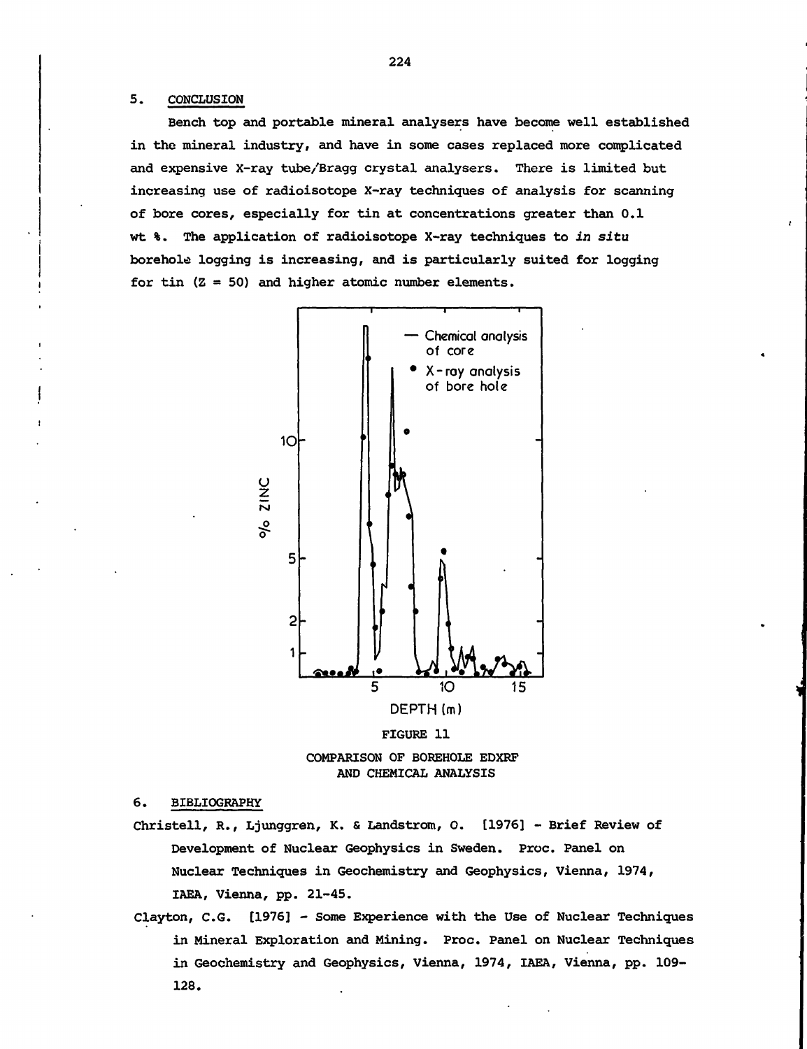#### 5. CONCLUSION

Bench top and portable mineral analysers have become well established in the mineral industry, and have in some cases replaced more complicated and expensive X-ray tube/Bragg crystal analysers. There is limited but increasing use of radioisotope X-ray techniques of analysis for scanning of bore cores, especially for tin at concentrations greater than 0.1 wt %. The application of radioisotope X-ray techniques to in situ borehole logging is increasing, and is particularly suited for logging for tin  $(Z = 50)$  and higher atomic number elements.







6. BIBLIOGRAPHY

- Christell, R., Ljunggren, K. & Landstrom, O. [1976] Brief Review of Development of Nuclear Geophysics in Sweden. Proc. Panel on Nuclear Techniques in Geochemistry and Geophysics, Vienna, 1974, IAEA, Vienna, pp. 21-45.
- Clayton, C.G. [1976] Some Experience with the Use of Nuclear Techniques in Mineral Exploration and Mining. Proc. Panel on Nuclear Techniques in Geochemistry and Geophysics, Vienna, 1974, IAEA, Vienna, pp. 109- 128.